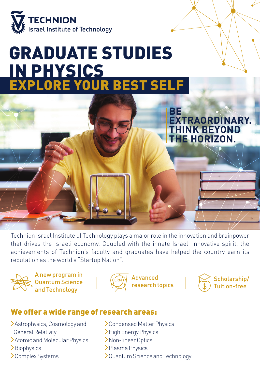

# GRADUATE STUDIES IN PHYSICS EXPLORE YOUR BEST SELF



Technion Israel Institute of Technology plays a major role in the innovation and brainpower that drives the Israeli economy. Coupled with the innate Israeli innovative spirit, the achievements of Technion's faculty and graduates have helped the country earn its reputation as the world's "Startup Nation".



A new program in Quantum Science and Technology



Advanced research topics



## We offer a wide range of research areas:

- Astrophysics, Cosmology and
- General Relativity
- Atomic and Molecular Physics
- **>**Biophysics
- Complex Systems
- Condensed Matter Physics
- >High Energy Physics
- Non-linear Optics
- >Plasma Physics
- Quantum Science and Technology